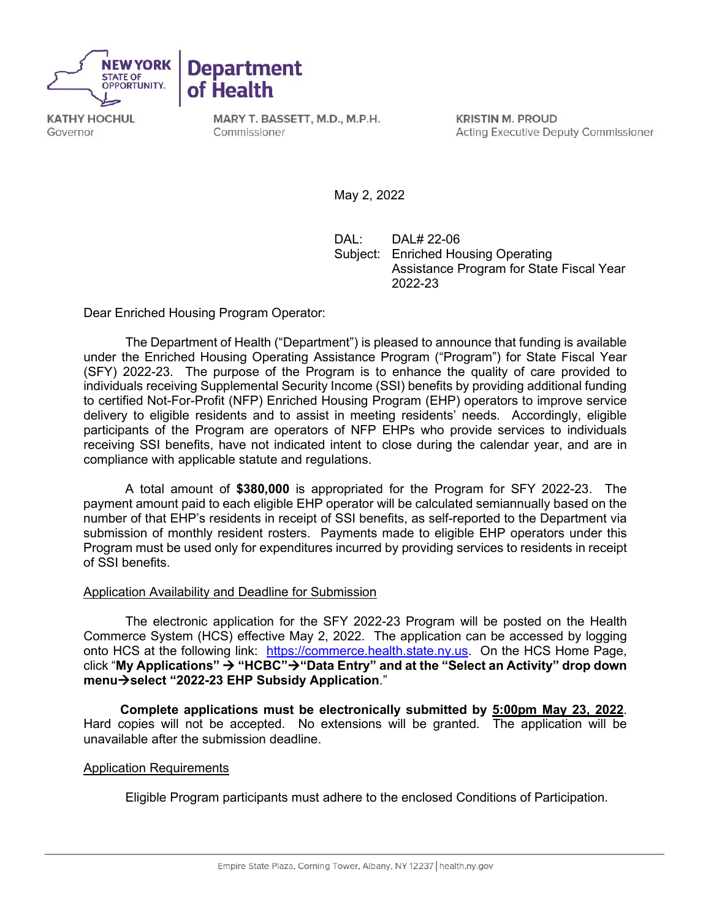



**KATHY HOCHUL** Governor

MARY T. BASSETT, M.D., M.P.H. Commissioner

**KRISTIN M. PROUD Acting Executive Deputy Commissioner** 

May 2, 2022

DAL: DAL# 22-06 Subject: Enriched Housing Operating Assistance Program for State Fiscal Year 2022-23

Dear Enriched Housing Program Operator:

The Department of Health ("Department") is pleased to announce that funding is available under the Enriched Housing Operating Assistance Program ("Program") for State Fiscal Year (SFY) 2022-23. The purpose of the Program is to enhance the quality of care provided to individuals receiving Supplemental Security Income (SSI) benefits by providing additional funding to certified Not-For-Profit (NFP) Enriched Housing Program (EHP) operators to improve service delivery to eligible residents and to assist in meeting residents' needs. Accordingly, eligible participants of the Program are operators of NFP EHPs who provide services to individuals receiving SSI benefits, have not indicated intent to close during the calendar year, and are in compliance with applicable statute and regulations.

A total amount of **\$380,000** is appropriated for the Program for SFY 2022-23. The payment amount paid to each eligible EHP operator will be calculated semiannually based on the number of that EHP's residents in receipt of SSI benefits, as self-reported to the Department via submission of monthly resident rosters. Payments made to eligible EHP operators under this Program must be used only for expenditures incurred by providing services to residents in receipt of SSI benefits.

## Application Availability and Deadline for Submission

The electronic application for the SFY 2022-23 Program will be posted on the Health Commerce System (HCS) effective May 2, 2022. The application can be accessed by logging onto HCS at the following link: [https://commerce.health.state.ny.us.](https://commerce.health.state.ny.us/) On the HCS Home Page, click "**My Applications" "HCBC""Data Entry" and at the "Select an Activity" drop down menuselect "2022-23 EHP Subsidy Application**."

**Complete applications must be electronically submitted by 5:00pm May 23, 2022**. Hard copies will not be accepted. No extensions will be granted. The application will be unavailable after the submission deadline.

## Application Requirements

Eligible Program participants must adhere to the enclosed Conditions of Participation.